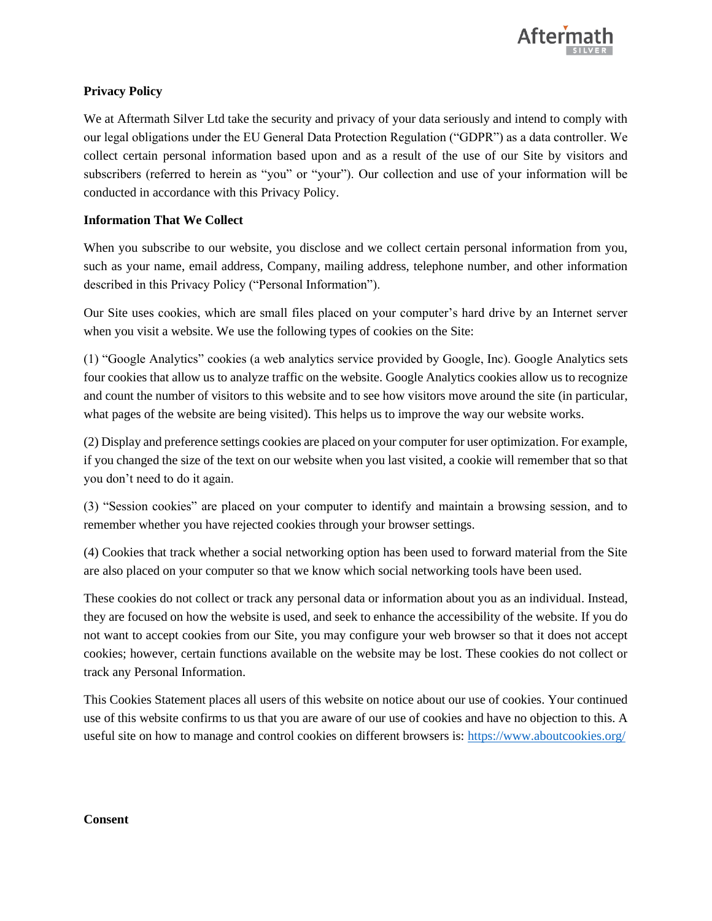

## **Privacy Policy**

We at Aftermath Silver Ltd take the security and privacy of your data seriously and intend to comply with our legal obligations under the EU General Data Protection Regulation ("GDPR") as a data controller. We collect certain personal information based upon and as a result of the use of our Site by visitors and subscribers (referred to herein as "you" or "your"). Our collection and use of your information will be conducted in accordance with this Privacy Policy.

## **Information That We Collect**

When you subscribe to our website, you disclose and we collect certain personal information from you, such as your name, email address, Company, mailing address, telephone number, and other information described in this Privacy Policy ("Personal Information").

Our Site uses cookies, which are small files placed on your computer's hard drive by an Internet server when you visit a website. We use the following types of cookies on the Site:

(1) "Google Analytics" cookies (a web analytics service provided by Google, Inc). Google Analytics sets four cookies that allow us to analyze traffic on the website. Google Analytics cookies allow us to recognize and count the number of visitors to this website and to see how visitors move around the site (in particular, what pages of the website are being visited). This helps us to improve the way our website works.

(2) Display and preference settings cookies are placed on your computer for user optimization. For example, if you changed the size of the text on our website when you last visited, a cookie will remember that so that you don't need to do it again.

(3) "Session cookies" are placed on your computer to identify and maintain a browsing session, and to remember whether you have rejected cookies through your browser settings.

(4) Cookies that track whether a social networking option has been used to forward material from the Site are also placed on your computer so that we know which social networking tools have been used.

These cookies do not collect or track any personal data or information about you as an individual. Instead, they are focused on how the website is used, and seek to enhance the accessibility of the website. If you do not want to accept cookies from our Site, you may configure your web browser so that it does not accept cookies; however, certain functions available on the website may be lost. These cookies do not collect or track any Personal Information.

This Cookies Statement places all users of this website on notice about our use of cookies. Your continued use of this website confirms to us that you are aware of our use of cookies and have no objection to this. A useful site on how to manage and control cookies on different browsers is: <https://www.aboutcookies.org/>

#### **Consent**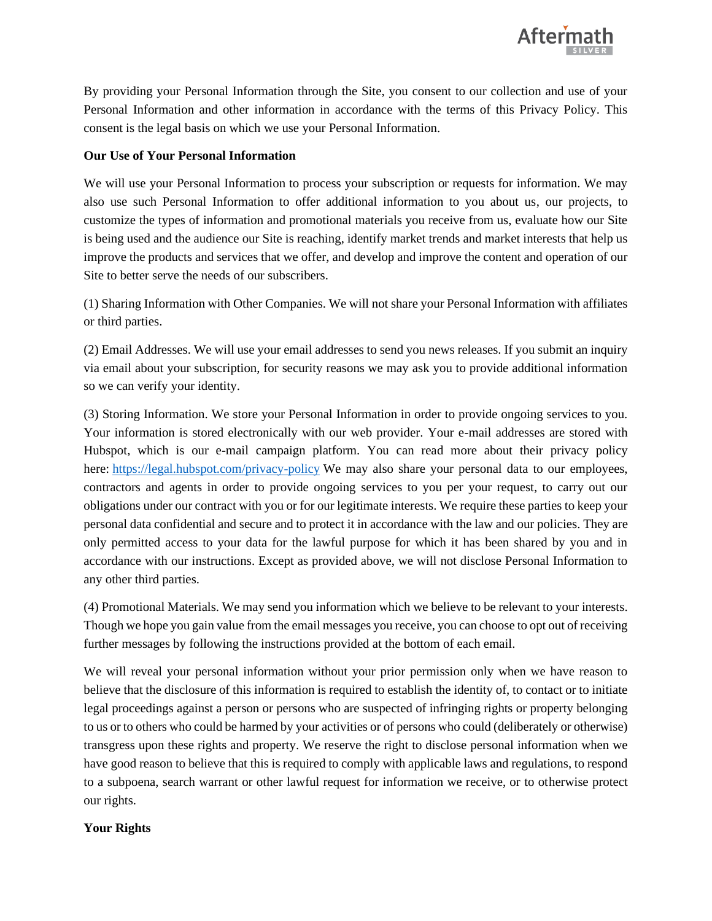

By providing your Personal Information through the Site, you consent to our collection and use of your Personal Information and other information in accordance with the terms of this Privacy Policy. This consent is the legal basis on which we use your Personal Information.

### **Our Use of Your Personal Information**

We will use your Personal Information to process your subscription or requests for information. We may also use such Personal Information to offer additional information to you about us, our projects, to customize the types of information and promotional materials you receive from us, evaluate how our Site is being used and the audience our Site is reaching, identify market trends and market interests that help us improve the products and services that we offer, and develop and improve the content and operation of our Site to better serve the needs of our subscribers.

(1) Sharing Information with Other Companies. We will not share your Personal Information with affiliates or third parties.

(2) Email Addresses. We will use your email addresses to send you news releases. If you submit an inquiry via email about your subscription, for security reasons we may ask you to provide additional information so we can verify your identity.

(3) Storing Information. We store your Personal Information in order to provide ongoing services to you. Your information is stored electronically with our web provider. Your e-mail addresses are stored with Hubspot, which is our e-mail campaign platform. You can read more about their privacy policy here: <https://legal.hubspot.com/privacy-policy> We may also share your personal data to our employees, contractors and agents in order to provide ongoing services to you per your request, to carry out our obligations under our contract with you or for our legitimate interests. We require these parties to keep your personal data confidential and secure and to protect it in accordance with the law and our policies. They are only permitted access to your data for the lawful purpose for which it has been shared by you and in accordance with our instructions. Except as provided above, we will not disclose Personal Information to any other third parties.

(4) Promotional Materials. We may send you information which we believe to be relevant to your interests. Though we hope you gain value from the email messages you receive, you can choose to opt out of receiving further messages by following the instructions provided at the bottom of each email.

We will reveal your personal information without your prior permission only when we have reason to believe that the disclosure of this information is required to establish the identity of, to contact or to initiate legal proceedings against a person or persons who are suspected of infringing rights or property belonging to us or to others who could be harmed by your activities or of persons who could (deliberately or otherwise) transgress upon these rights and property. We reserve the right to disclose personal information when we have good reason to believe that this is required to comply with applicable laws and regulations, to respond to a subpoena, search warrant or other lawful request for information we receive, or to otherwise protect our rights.

### **Your Rights**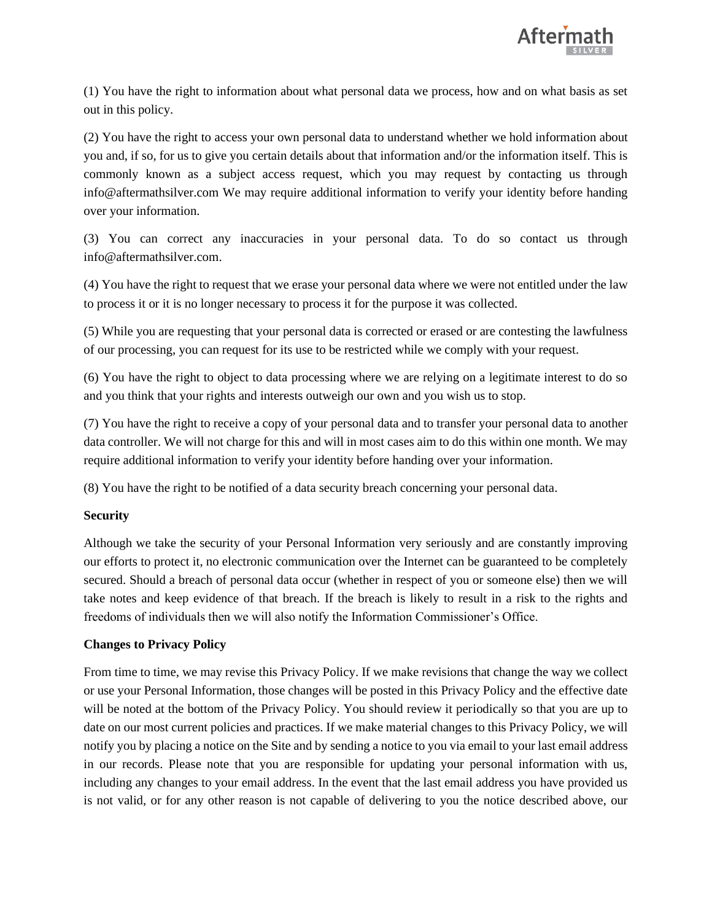

(1) You have the right to information about what personal data we process, how and on what basis as set out in this policy.

(2) You have the right to access your own personal data to understand whether we hold information about you and, if so, for us to give you certain details about that information and/or the information itself. This is commonly known as a subject access request, which you may request by contacting us through info@aftermathsilver.com We may require additional information to verify your identity before handing over your information.

(3) You can correct any inaccuracies in your personal data. To do so contact us through info@aftermathsilver.com.

(4) You have the right to request that we erase your personal data where we were not entitled under the law to process it or it is no longer necessary to process it for the purpose it was collected.

(5) While you are requesting that your personal data is corrected or erased or are contesting the lawfulness of our processing, you can request for its use to be restricted while we comply with your request.

(6) You have the right to object to data processing where we are relying on a legitimate interest to do so and you think that your rights and interests outweigh our own and you wish us to stop.

(7) You have the right to receive a copy of your personal data and to transfer your personal data to another data controller. We will not charge for this and will in most cases aim to do this within one month. We may require additional information to verify your identity before handing over your information.

(8) You have the right to be notified of a data security breach concerning your personal data.

## **Security**

Although we take the security of your Personal Information very seriously and are constantly improving our efforts to protect it, no electronic communication over the Internet can be guaranteed to be completely secured. Should a breach of personal data occur (whether in respect of you or someone else) then we will take notes and keep evidence of that breach. If the breach is likely to result in a risk to the rights and freedoms of individuals then we will also notify the Information Commissioner's Office.

### **Changes to Privacy Policy**

From time to time, we may revise this Privacy Policy. If we make revisions that change the way we collect or use your Personal Information, those changes will be posted in this Privacy Policy and the effective date will be noted at the bottom of the Privacy Policy. You should review it periodically so that you are up to date on our most current policies and practices. If we make material changes to this Privacy Policy, we will notify you by placing a notice on the Site and by sending a notice to you via email to your last email address in our records. Please note that you are responsible for updating your personal information with us, including any changes to your email address. In the event that the last email address you have provided us is not valid, or for any other reason is not capable of delivering to you the notice described above, our